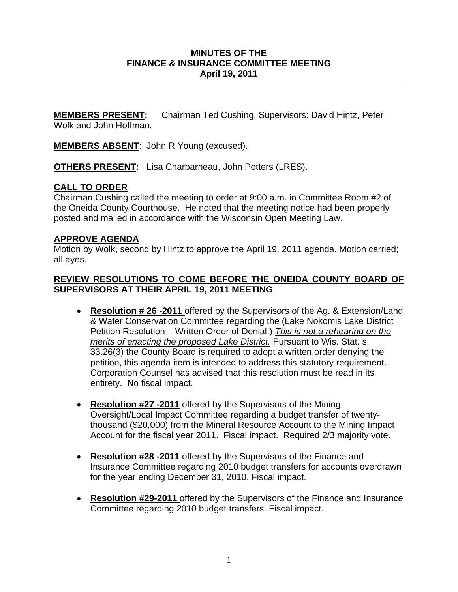### **MINUTES OF THE FINANCE & INSURANCE COMMITTEE MEETING April 19, 2011**

**\_\_\_\_\_\_\_\_\_\_\_\_\_\_\_\_\_\_\_\_\_\_\_\_\_\_\_\_\_\_\_\_\_\_\_\_\_\_\_\_\_\_\_\_\_\_\_\_\_\_\_\_\_\_\_\_\_\_\_\_\_\_\_\_\_\_\_\_\_\_** 

**MEMBERS PRESENT:** Chairman Ted Cushing, Supervisors: David Hintz, Peter Wolk and John Hoffman.

**MEMBERS ABSENT**: John R Young (excused).

**OTHERS PRESENT:** Lisa Charbarneau, John Potters (LRES).

# **CALL TO ORDER**

Chairman Cushing called the meeting to order at 9:00 a.m. in Committee Room #2 of the Oneida County Courthouse. He noted that the meeting notice had been properly posted and mailed in accordance with the Wisconsin Open Meeting Law.

#### **APPROVE AGENDA**

Motion by Wolk, second by Hintz to approve the April 19, 2011 agenda. Motion carried; all ayes.

### **REVIEW RESOLUTIONS TO COME BEFORE THE ONEIDA COUNTY BOARD OF SUPERVISORS AT THEIR APRIL 19, 2011 MEETING**

- **Resolution # 26 -2011** offered by the Supervisors of the Ag. & Extension/Land & Water Conservation Committee regarding the (Lake Nokomis Lake District Petition Resolution – Written Order of Denial.) *This is not a rehearing on the merits of enacting the proposed Lake District.* Pursuant to Wis. Stat. s. 33.26(3) the County Board is required to adopt a written order denying the petition, this agenda item is intended to address this statutory requirement. Corporation Counsel has advised that this resolution must be read in its entirety. No fiscal impact.
- **Resolution #27 -2011** offered by the Supervisors of the Mining Oversight/Local Impact Committee regarding a budget transfer of twentythousand (\$20,000) from the Mineral Resource Account to the Mining Impact Account for the fiscal year 2011. Fiscal impact. Required 2/3 majority vote.
- **Resolution #28 -2011** offered by the Supervisors of the Finance and Insurance Committee regarding 2010 budget transfers for accounts overdrawn for the year ending December 31, 2010. Fiscal impact.
- **Resolution #29-2011** offered by the Supervisors of the Finance and Insurance Committee regarding 2010 budget transfers. Fiscal impact.